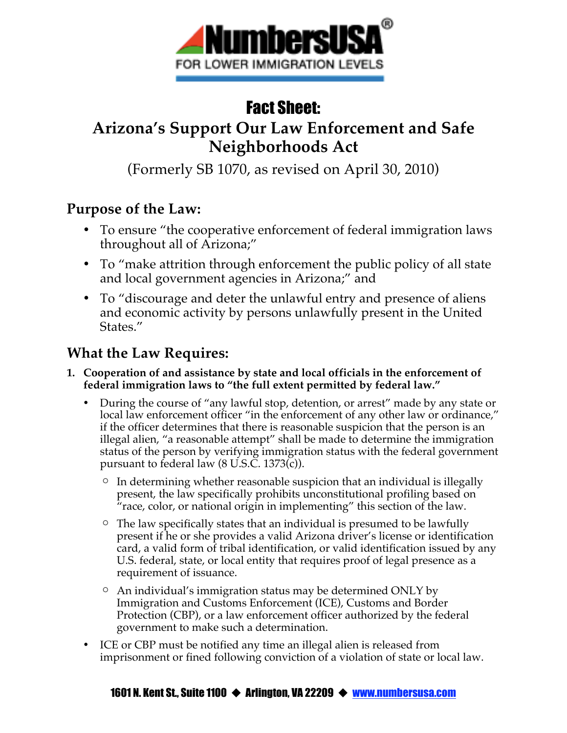

# Fact Sheet:

## **Arizona's Support Our Law Enforcement and Safe Neighborhoods Act**

(Formerly SB 1070, as revised on April 30, 2010)

### **Purpose of the Law:**

- To ensure "the cooperative enforcement of federal immigration laws throughout all of Arizona;"
- To "make attrition through enforcement the public policy of all state and local government agencies in Arizona;" and
- To "discourage and deter the unlawful entry and presence of aliens and economic activity by persons unlawfully present in the United States."

## **What the Law Requires:**

- **1. Cooperation of and assistance by state and local officials in the enforcement of federal immigration laws to "the full extent permitted by federal law."**
	- During the course of "any lawful stop, detention, or arrest" made by any state or local law enforcement officer "in the enforcement of any other law or ordinance," if the officer determines that there is reasonable suspicion that the person is an illegal alien, "a reasonable attempt" shall be made to determine the immigration status of the person by verifying immigration status with the federal government pursuant to federal law (8 U.S.C. 1373(c)).
		- $\circ$  In determining whether reasonable suspicion that an individual is illegally present, the law specifically prohibits unconstitutional profiling based on "race, color, or national origin in implementing" this section of the law.
		- $\circ$  The law specifically states that an individual is presumed to be lawfully present if he or she provides a valid Arizona driver's license or identification card, a valid form of tribal identification, or valid identification issued by any U.S. federal, state, or local entity that requires proof of legal presence as a requirement of issuance.
		- An individual's immigration status may be determined ONLY by Immigration and Customs Enforcement (ICE), Customs and Border Protection (CBP), or a law enforcement officer authorized by the federal government to make such a determination.
	- ICE or CBP must be notified any time an illegal alien is released from imprisonment or fined following conviction of a violation of state or local law.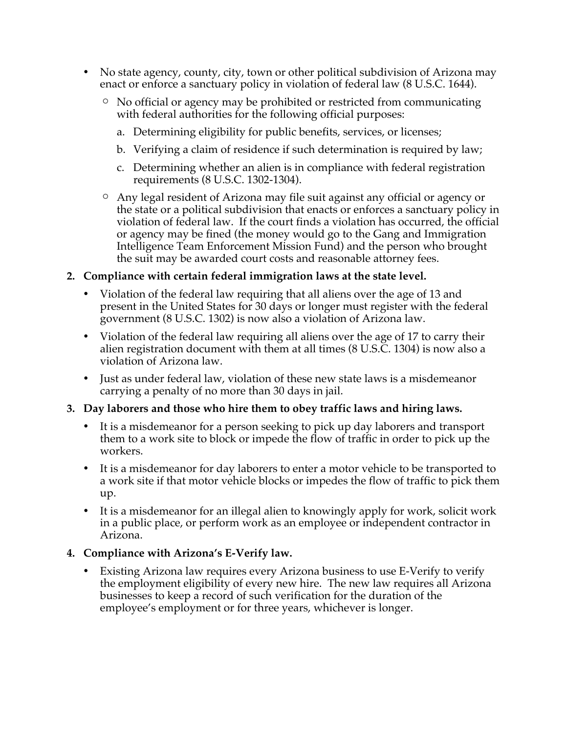- No state agency, county, city, town or other political subdivision of Arizona may enact or enforce a sanctuary policy in violation of federal law (8 U.S.C. 1644).
	- No official or agency may be prohibited or restricted from communicating with federal authorities for the following official purposes:
		- a. Determining eligibility for public benefits, services, or licenses;
		- b. Verifying a claim of residence if such determination is required by law;
		- c. Determining whether an alien is in compliance with federal registration requirements (8 U.S.C. 1302-1304).
	- Any legal resident of Arizona may file suit against any official or agency or the state or a political subdivision that enacts or enforces a sanctuary policy in violation of federal law. If the court finds a violation has occurred, the official or agency may be fined (the money would go to the Gang and Immigration Intelligence Team Enforcement Mission Fund) and the person who brought the suit may be awarded court costs and reasonable attorney fees.

#### **2. Compliance with certain federal immigration laws at the state level.**

- Violation of the federal law requiring that all aliens over the age of 13 and present in the United States for 30 days or longer must register with the federal government (8 U.S.C. 1302) is now also a violation of Arizona law.
- Violation of the federal law requiring all aliens over the age of 17 to carry their alien registration document with them at all times (8 U.S.C. 1304) is now also a violation of Arizona law.
- Just as under federal law, violation of these new state laws is a misdemeanor carrying a penalty of no more than 30 days in jail.

#### **3. Day laborers and those who hire them to obey traffic laws and hiring laws.**

- It is a misdemeanor for a person seeking to pick up day laborers and transport them to a work site to block or impede the flow of traffic in order to pick up the workers.
- It is a misdemeanor for day laborers to enter a motor vehicle to be transported to a work site if that motor vehicle blocks or impedes the flow of traffic to pick them up.
- It is a misdemeanor for an illegal alien to knowingly apply for work, solicit work in a public place, or perform work as an employee or independent contractor in Arizona.

#### **4. Compliance with Arizona's E-Verify law.**

• Existing Arizona law requires every Arizona business to use E-Verify to verify the employment eligibility of every new hire. The new law requires all Arizona businesses to keep a record of such verification for the duration of the employee's employment or for three years, whichever is longer.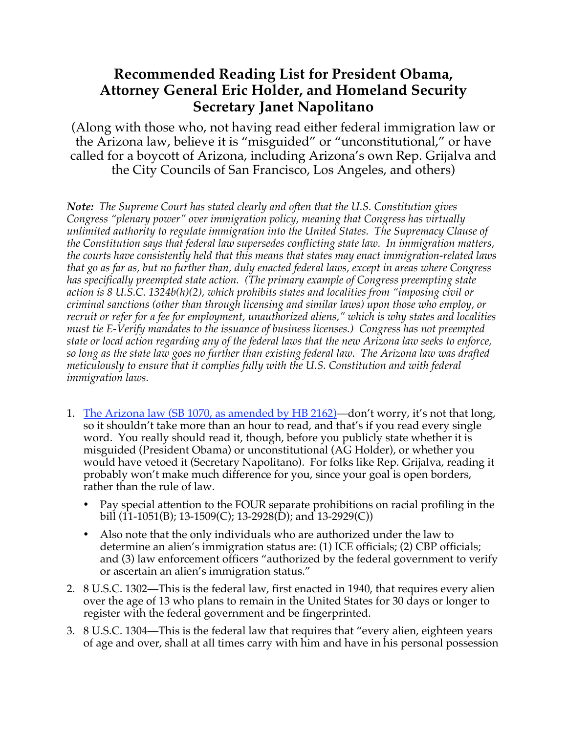### **Recommended Reading List for President Obama, Attorney General Eric Holder, and Homeland Security Secretary Janet Napolitano**

(Along with those who, not having read either federal immigration law or the Arizona law, believe it is "misguided" or "unconstitutional," or have called for a boycott of Arizona, including Arizona's own Rep. Grijalva and the City Councils of San Francisco, Los Angeles, and others)

*Note: The Supreme Court has stated clearly and often that the U.S. Constitution gives Congress "plenary power" over immigration policy, meaning that Congress has virtually unlimited authority to regulate immigration into the United States. The Supremacy Clause of the Constitution says that federal law supersedes conflicting state law. In immigration matters, the courts have consistently held that this means that states may enact immigration-related laws that go as far as, but no further than, duly enacted federal laws, except in areas where Congress has specifically preempted state action. (The primary example of Congress preempting state action is 8 U.S.C. 1324b(h)(2), which prohibits states and localities from "imposing civil or criminal sanctions (other than through licensing and similar laws) upon those who employ, or recruit or refer for a fee for employment, unauthorized aliens," which is why states and localities must tie E-Verify mandates to the issuance of business licenses.) Congress has not preempted state or local action regarding any of the federal laws that the new Arizona law seeks to enforce, so long as the state law goes no further than existing federal law. The Arizona law was drafted meticulously to ensure that it complies fully with the U.S. Constitution and with federal immigration laws.* 

- 1. The Arizona law (SB 1070, as amended by HB 2162)—don't worry, it's not that long, so it shouldn't take more than an hour to read, and that's if you read every single word. You really should read it, though, before you publicly state whether it is misguided (President Obama) or unconstitutional (AG Holder), or whether you would have vetoed it (Secretary Napolitano). For folks like Rep. Grijalva, reading it probably won't make much difference for you, since your goal is open borders, rather than the rule of law.
	- Pay special attention to the FOUR separate prohibitions on racial profiling in the bill (11-1051(B); 13-1509(C); 13-2928(D); and 13-2929(C))
	- Also note that the only individuals who are authorized under the law to determine an alien's immigration status are: (1) ICE officials; (2) CBP officials; and (3) law enforcement officers "authorized by the federal government to verify or ascertain an alien's immigration status."
- 2. 8 U.S.C. 1302—This is the federal law, first enacted in 1940, that requires every alien over the age of 13 who plans to remain in the United States for 30 days or longer to register with the federal government and be fingerprinted.
- 3. 8 U.S.C. 1304—This is the federal law that requires that "every alien, eighteen years of age and over, shall at all times carry with him and have in his personal possession